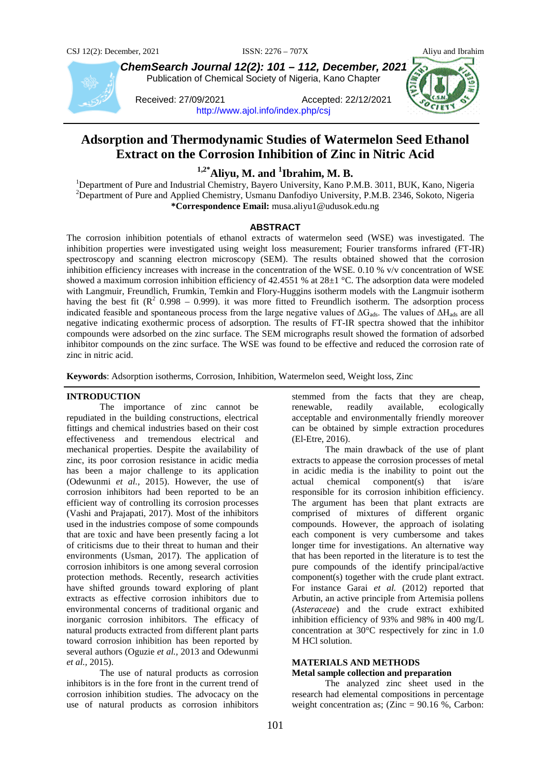



*ChemSearch Journal 12(2): 101 – 112, December, 2021* Publication of Chemical Society of Nigeria, Kano Chapter

Received: 27/09/2021 Accepted: 22/12/2021 <http://www.ajol.info/index.php/csj>



# **Adsorption and Thermodynamic Studies of Watermelon Seed Ethanol Extract on the Corrosion Inhibition of Zinc in Nitric Acid**

<sup>1,2\*</sup>**Aliyu, M. and <sup>1</sup>Ibrahim, M. B.**<br><sup>1</sup> Department of Pure and Industrial Chamistry, Bayero University, Kano B.

<sup>1</sup>Department of Pure and Industrial Chemistry, Bayero University, Kano P.M.B. 3011, BUK, Kano, Nigeria  $2D$ Pepartment of Pure and Applied Chemistry, Usmanu Danfodiyo University, P.M.B. 2346, Sokoto, Nigeria **\*Correspondence Email:** musa.aliyu1@udusok.edu.ng

# **ABSTRACT**

The corrosion inhibition potentials of ethanol extracts of watermelon seed (WSE) was investigated. The inhibition properties were investigated using weight loss measurement; Fourier transforms infrared (FT-IR) spectroscopy and scanning electron microscopy (SEM). The results obtained showed that the corrosion inhibition efficiency increases with increase in the concentration of the WSE. 0.10 % v/v concentration of WSE showed a maximum corrosion inhibition efficiency of 42.4551 % at 28±1 °C. The adsorption data were modeled with Langmuir, Freundlich, Frumkin, Temkin and Flory-Huggins isotherm models with the Langmuir isotherm having the best fit ( $\mathbb{R}^2$  0.998 – 0.999). it was more fitted to Freundlich isotherm. The adsorption process indicated feasible and spontaneous process from the large negative values of  $\Delta G_{ads}$ . The values of  $\Delta H_{ads}$  are all negative indicating exothermic process of adsorption. The results of FT-IR spectra showed that the inhibitor compounds were adsorbed on the zinc surface. The SEM micrographs result showed the formation of adsorbed inhibitor compounds on the zinc surface. The WSE was found to be effective and reduced the corrosion rate of zinc in nitric acid.

**Keywords**: Adsorption isotherms, Corrosion, Inhibition, Watermelon seed, Weight loss, Zinc

# **INTRODUCTION**

The importance of zinc cannot be repudiated in the building constructions, electrical fittings and chemical industries based on their cost effectiveness and tremendous electrical and mechanical properties. Despite the availability of zinc, its poor corrosion resistance in acidic media has been a major challenge to its application (Odewunmi *et al.,* 2015). However, the use of corrosion inhibitors had been reported to be an efficient way of controlling its corrosion processes (Vashi and Prajapati, 2017). Most of the inhibitors used in the industries compose of some compounds that are toxic and have been presently facing a lot of criticisms due to their threat to human and their environments (Usman, 2017). The application of corrosion inhibitors is one among several corrosion protection methods. Recently, research activities have shifted grounds toward exploring of plant extracts as effective corrosion inhibitors due to environmental concerns of traditional organic and inorganic corrosion inhibitors. The efficacy of natural products extracted from different plant parts toward corrosion inhibition has been reported by several authors (Oguzie *et al.,* 2013 and Odewunmi *et al.,* 2015).

The use of natural products as corrosion inhibitors is in the fore front in the current trend of corrosion inhibition studies. The advocacy on the use of natural products as corrosion inhibitors

stemmed from the facts that they are cheap, renewable, readily available, ecologically acceptable and environmentally friendly moreover can be obtained by simple extraction procedures (El-Etre, 2016).

The main drawback of the use of plant extracts to appease the corrosion processes of metal in acidic media is the inability to point out the actual chemical component(s) that is/are responsible for its corrosion inhibition efficiency. The argument has been that plant extracts are comprised of mixtures of different organic compounds. However, the approach of isolating each component is very cumbersome and takes longer time for investigations. An alternative way that has been reported in the literature is to test the pure compounds of the identify principal/active component(s) together with the crude plant extract. For instance Garai *et al.* (2012) reported that Arbutin, an active principle from Artemisia pollens (*Asteraceae*) and the crude extract exhibited inhibition efficiency of 93% and 98% in 400 mg/L concentration at 30°C respectively for zinc in 1.0 M HCl solution.

# **MATERIALS AND METHODS Metal sample collection and preparation**

The analyzed zinc sheet used in the research had elemental compositions in percentage weight concentration as;  $(Zinc = 90.16 %$ , Carbon: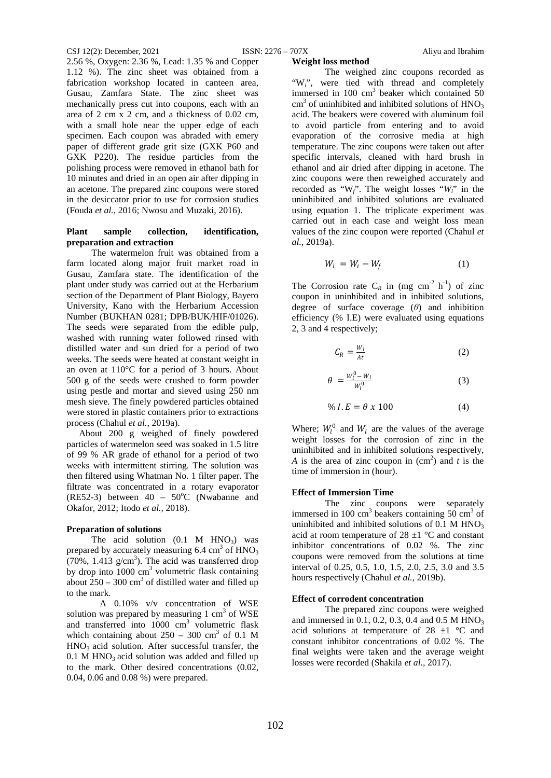**Weight loss method**

2.56 %, Oxygen: 2.36 %, Lead: 1.35 % and Copper 1.12 %). The zinc sheet was obtained from a fabrication workshop located in canteen area, Gusau, Zamfara State. The zinc sheet was mechanically press cut into coupons, each with an area of 2 cm x 2 cm, and a thickness of 0.02 cm, with a small hole near the upper edge of each specimen. Each coupon was abraded with emery paper of different grade grit size (GXK P60 and GXK P220). The residue particles from the polishing process were removed in ethanol bath for 10 minutes and dried in an open air after dipping in an acetone. The prepared zinc coupons were stored in the desiccator prior to use for corrosion studies (Fouda *et al.,* 2016; Nwosu and Muzaki, 2016).

# **Plant sample collection, identification, preparation and extraction**

The watermelon fruit was obtained from a farm located along major fruit market road in Gusau, Zamfara state. The identification of the plant under study was carried out at the Herbarium section of the Department of Plant Biology, Bayero University, Kano with the Herbarium Accession Number (BUKHAN 0281; DPB/BUK/HIF/01026). The seeds were separated from the edible pulp, washed with running water followed rinsed with distilled water and sun dried for a period of two weeks. The seeds were heated at constant weight in an oven at 110°C for a period of 3 hours. About 500 g of the seeds were crushed to form powder using pestle and mortar and sieved using 250 nm mesh sieve. The finely powdered particles obtained were stored in plastic containers prior to extractions process (Chahul *et al.,* 2019a).

About 200 g weighed of finely powdered particles of watermelon seed was soaked in 1.5 litre of 99 % AR grade of ethanol for a period of two weeks with intermittent stirring. The solution was then filtered using Whatman No. 1 filter paper. The filtrate was concentrated in a rotary evaporator (RE52-3) between  $40 - 50^{\circ}$ C (Nwabanne and Okafor, 2012; Itodo *et al.,* 2018).

# **Preparation of solutions**

The acid solution  $(0.1 \text{ M HNO}_3)$  was prepared by accurately measuring  $6.4 \text{ cm}^3$  of  $\text{HNO}_3$  $(70\%, 1.413 \text{ g/cm}^3)$ . The acid was transferred drop by drop into  $1000 \text{ cm}^3$  volumetric flask containing about  $250 - 300 \text{ cm}^3$  of distilled water and filled up to the mark.

A 0.10% v/v concentration of WSE solution was prepared by measuring  $1 \text{ cm}^3$  of WSE and transferred into 1000 cm<sup>3</sup> volumetric flask which containing about  $250 - 300$  cm<sup>3</sup> of 0.1 M  $HNO<sub>3</sub>$  acid solution. After successful transfer, the  $0.1$  M HNO<sub>3</sub> acid solution was added and filled up to the mark. Other desired concentrations (0.02, 0.04, 0.06 and 0.08 %) were prepared.

The weighed zinc coupons recorded as "W<sub>i</sub>", were tied with thread and completely immersed in 100 cm<sup>3</sup> beaker which contained 50  $cm<sup>3</sup>$  of uninhibited and inhibited solutions of  $HNO<sub>3</sub>$ acid. The beakers were covered with aluminum foil to avoid particle from entering and to avoid evaporation of the corrosive media at high temperature. The zinc coupons were taken out after specific intervals, cleaned with hard brush in ethanol and air dried after dipping in acetone. The zinc coupons were then reweighed accurately and recorded as "W*f*". The weight losses "*Wl*" in the uninhibited and inhibited solutions are evaluated using equation 1. The triplicate experiment was carried out in each case and weight loss mean values of the zinc coupon were reported (Chahul *et al.,* 2019a).

$$
W_l = W_i - W_f \tag{1}
$$

The Corrosion rate  $C_R$  in (mg cm<sup>-2</sup> h<sup>-1</sup>) of zinc coupon in uninhibited and in inhibited solutions, degree of surface coverage (*θ*) and inhibition efficiency (% I.E) were evaluated using equations 2, 3 and 4 respectively;

$$
C_R = \frac{W_l}{At} \tag{2}
$$

$$
\theta = \frac{W_l^0 - W_l}{W_l^0} \tag{3}
$$

$$
\% I.E = \theta \times 100 \tag{4}
$$

Where;  $W_l^0$  and  $W_l$  are the values of the average weight losses for the corrosion of zinc in the uninhibited and in inhibited solutions respectively, *A* is the area of zinc coupon in  $(cm^2)$  and *t* is the time of immersion in (hour).

# **Effect of Immersion Time**

The zinc coupons were separately immersed in 100 cm<sup>3</sup> beakers containing 50 cm<sup>3</sup> of uninhibited and inhibited solutions of  $0.1 \text{ M HNO}_3$ acid at room temperature of  $28 \pm 1$  °C and constant inhibitor concentrations of 0.02 %. The zinc coupons were removed from the solutions at time interval of 0.25, 0.5, 1.0, 1.5, 2.0, 2.5, 3.0 and 3.5 hours respectively (Chahul *et al.,* 2019b).

# **Effect of corrodent concentration**

The prepared zinc coupons were weighed and immersed in 0.1, 0.2, 0.3, 0.4 and 0.5 M  $HNO<sub>3</sub>$ acid solutions at temperature of  $28 \pm 1$  °C and constant inhibitor concentrations of 0.02 %. The final weights were taken and the average weight losses were recorded (Shakila *et al.,* 2017).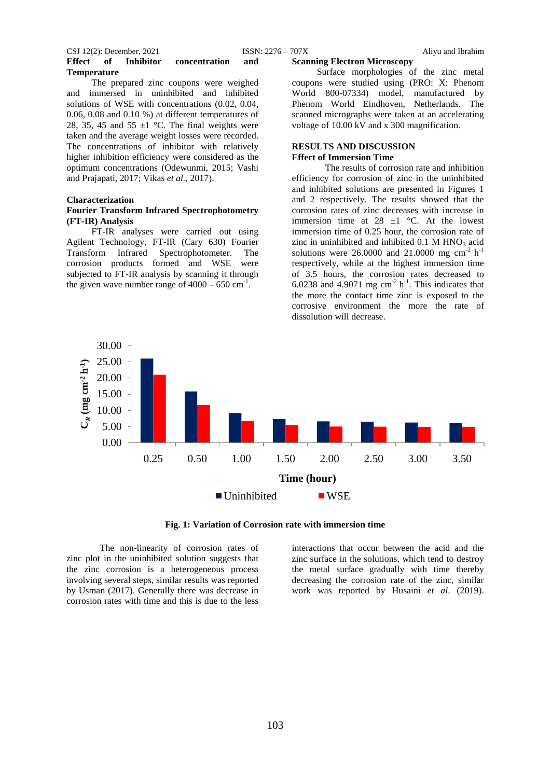# CSJ 12(2): December, 2021 ISSN: 2276 – 707X Aliyu and Ibrahim **Effect of Inhibitor concentration and Temperature**

The prepared zinc coupons were weighed and immersed in uninhibited and inhibited solutions of WSE with concentrations (0.02, 0.04, 0.06, 0.08 and 0.10 %) at different temperatures of 28, 35, 45 and 55  $\pm$ 1 °C. The final weights were taken and the average weight losses were recorded. The concentrations of inhibitor with relatively higher inhibition efficiency were considered as the optimum concentrations (Odewunmi, 2015; Vashi and Prajapati, 2017; Vikas *et al.,* 2017).

# **Characterization**

# **Fourier Transform Infrared Spectrophotometry (FT-IR) Analysis**

FT-IR analyses were carried out using Agilent Technology, FT-IR (Cary 630) Fourier Transform Infrared Spectrophotometer. The corrosion products formed and WSE were subjected to FT-IR analysis by scanning it through the given wave number range of  $4000 - 650$  cm<sup>-1</sup>.

#### **Scanning Electron Microscopy**

Surface morphologies of the zinc metal coupons were studied using (PRO: X: Phenom World 800-07334) model, manufactured by Phenom World Eindhoven, Netherlands. The scanned micrographs were taken at an accelerating voltage of 10.00 kV and x 300 magnification.

# **RESULTS AND DISCUSSION Effect of Immersion Time**

The results of corrosion rate and inhibition efficiency for corrosion of zinc in the uninhibited and inhibited solutions are presented in Figures 1 and 2 respectively. The results showed that the corrosion rates of zinc decreases with increase in immersion time at  $28 \pm 1$  °C. At the lowest immersion time of 0.25 hour, the corrosion rate of zinc in uninhibited and inhibited  $0.1$  M HNO<sub>3</sub> acid solutions were 26.0000 and 21.0000 mg  $\text{cm}^{-2} \text{ h}^{-1}$ respectively, while at the highest immersion time of 3.5 hours, the corrosion rates decreased to 6.0238 and 4.9071 mg  $\text{cm}^{-2} \text{ h}^{-1}$ . This indicates that the more the contact time zinc is exposed to the corrosive environment the more the rate of dissolution will decrease.



**Fig. 1: Variation of Corrosion rate with immersion time**

The non-linearity of corrosion rates of zinc plot in the uninhibited solution suggests that the zinc corrosion is a heterogeneous process involving several steps, similar results was reported by Usman (2017). Generally there was decrease in corrosion rates with time and this is due to the less

interactions that occur between the acid and the zinc surface in the solutions, which tend to destroy the metal surface gradually with time thereby decreasing the corrosion rate of the zinc, similar work was reported by Husaini *et al*. (2019).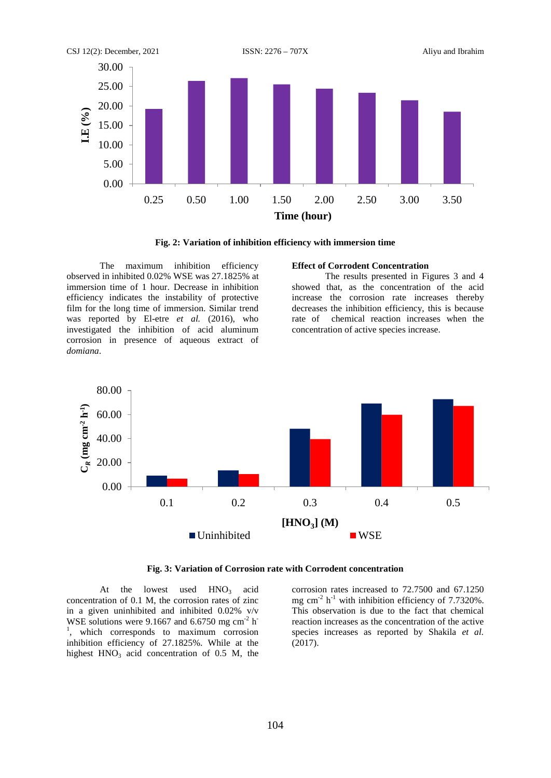

**Fig. 2: Variation of inhibition efficiency with immersion time**

The maximum inhibition efficiency observed in inhibited 0.02% WSE was 27.1825% at immersion time of 1 hour. Decrease in inhibition efficiency indicates the instability of protective film for the long time of immersion. Similar trend was reported by El-etre *et al.* (2016), who investigated the inhibition of acid aluminum corrosion in presence of aqueous extract of *domiana*.

# **Effect of Corrodent Concentration**

The results presented in Figures 3 and 4 showed that, as the concentration of the acid increase the corrosion rate increases thereby decreases the inhibition efficiency, this is because rate of chemical reaction increases when the concentration of active species increase.



**Fig. 3: Variation of Corrosion rate with Corrodent concentration**

At the lowest used  $HNO<sub>3</sub>$  acid concentration of 0.1 M, the corrosion rates of zinc in a given uninhibited and inhibited 0.02% v/v WSE solutions were 9.1667 and 6.6750 mg cm<sup>-2</sup> h<sup>-</sup> 1 , which corresponds to maximum corrosion inhibition efficiency of 27.1825%. While at the highest  $HNO<sub>3</sub>$  acid concentration of 0.5 M, the corrosion rates increased to 72.7500 and 67.1250 mg cm<sup>-2</sup> h<sup>-1</sup> with inhibition efficiency of 7.7320%. This observation is due to the fact that chemical reaction increases as the concentration of the active species increases as reported by Shakila *et al.* (2017).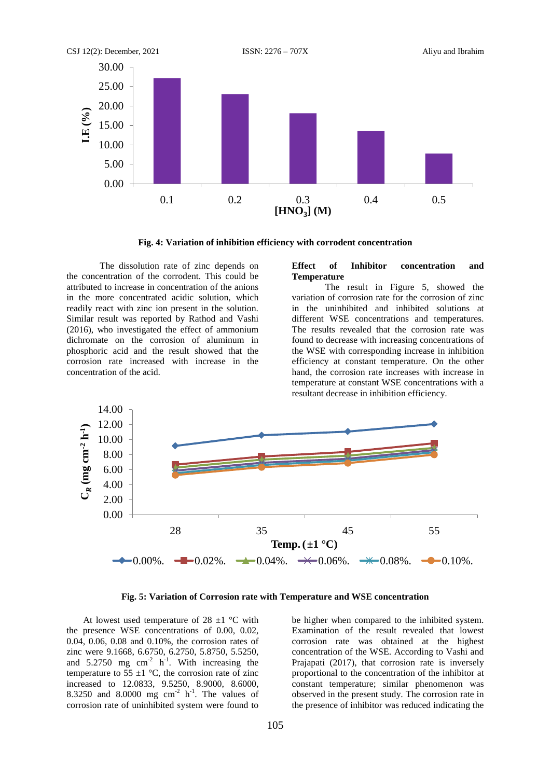

**Fig. 4: Variation of inhibition efficiency with corrodent concentration**

The dissolution rate of zinc depends on the concentration of the corrodent. This could be attributed to increase in concentration of the anions in the more concentrated acidic solution, which readily react with zinc ion present in the solution. Similar result was reported by Rathod and Vashi (2016), who investigated the effect of ammonium dichromate on the corrosion of aluminum in phosphoric acid and the result showed that the corrosion rate increased with increase in the concentration of the acid.

# **Effect of Inhibitor concentration and Temperature**

The result in Figure 5, showed the variation of corrosion rate for the corrosion of zinc in the uninhibited and inhibited solutions at different WSE concentrations and temperatures. The results revealed that the corrosion rate was found to decrease with increasing concentrations of the WSE with corresponding increase in inhibition efficiency at constant temperature. On the other hand, the corrosion rate increases with increase in temperature at constant WSE concentrations with a resultant decrease in inhibition efficiency.



**Fig. 5: Variation of Corrosion rate with Temperature and WSE concentration**

At lowest used temperature of 28  $\pm$ 1 °C with the presence WSE concentrations of 0.00, 0.02, 0.04, 0.06, 0.08 and 0.10%, the corrosion rates of zinc were 9.1668, 6.6750, 6.2750, 5.8750, 5.5250, and  $5.2750$  mg cm<sup>-2</sup> h<sup>-1</sup>. With increasing the temperature to  $55 \pm 1$  °C, the corrosion rate of zinc increased to 12.0833, 9.5250, 8.9000, 8.6000, 8.3250 and 8.0000 mg  $cm<sup>-2</sup> h<sup>-1</sup>$ . The values of corrosion rate of uninhibited system were found to

be higher when compared to the inhibited system. Examination of the result revealed that lowest corrosion rate was obtained at the highest concentration of the WSE. According to Vashi and Prajapati (2017), that corrosion rate is inversely proportional to the concentration of the inhibitor at constant temperature; similar phenomenon was observed in the present study. The corrosion rate in the presence of inhibitor was reduced indicating the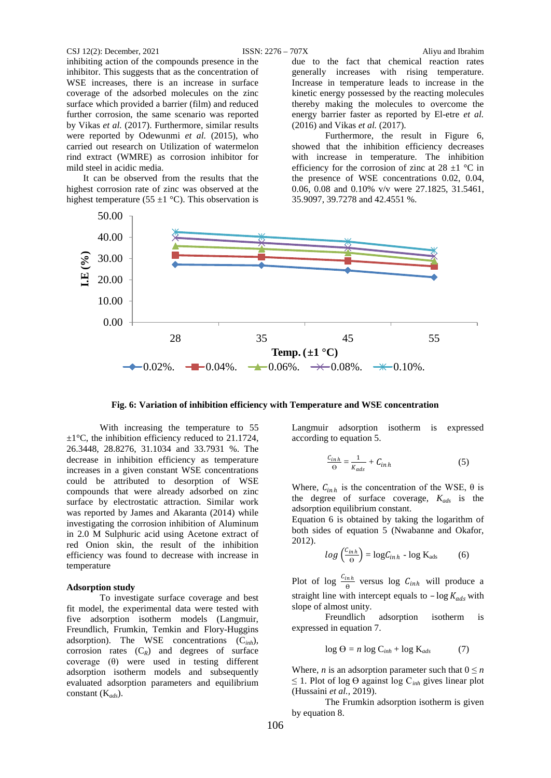#### CSJ 12(2): December, 2021 ISSN: 2276 – 707X Aliyu and Ibrahim

inhibiting action of the compounds presence in the inhibitor. This suggests that as the concentration of WSE increases, there is an increase in surface coverage of the adsorbed molecules on the zinc surface which provided a barrier (film) and reduced further corrosion, the same scenario was reported by Vikas *et al.* (2017). Furthermore, similar results were reported by Odewunmi *et al.* (2015), who carried out research on Utilization of watermelon rind extract (WMRE) as corrosion inhibitor for mild steel in acidic media.

It can be observed from the results that the highest corrosion rate of zinc was observed at the highest temperature (55  $\pm$ 1 °C). This observation is

due to the fact that chemical reaction rates generally increases with rising temperature. Increase in temperature leads to increase in the kinetic energy possessed by the reacting molecules thereby making the molecules to overcome the energy barrier faster as reported by El-etre *et al.* (2016) and Vikas *et al.* (2017).

Furthermore, the result in Figure 6, showed that the inhibition efficiency decreases with increase in temperature. The inhibition efficiency for the corrosion of zinc at  $28 \pm 1$  °C in the presence of WSE concentrations 0.02, 0.04, 0.06, 0.08 and 0.10% v/v were 27.1825, 31.5461, 35.9097, 39.7278 and 42.4551 %.



**Fig. 6: Variation of inhibition efficiency with Temperature and WSE concentration**

With increasing the temperature to 55  $\pm 1^{\circ}$ C, the inhibition efficiency reduced to 21.1724, 26.3448, 28.8276, 31.1034 and 33.7931 %. The decrease in inhibition efficiency as temperature increases in a given constant WSE concentrations could be attributed to desorption of WSE compounds that were already adsorbed on zinc surface by electrostatic attraction. Similar work was reported by James and Akaranta (2014) while investigating the corrosion inhibition of Aluminum in 2.0 M Sulphuric acid using Acetone extract of red Onion skin, the result of the inhibition efficiency was found to decrease with increase in temperature

#### **Adsorption study**

To investigate surface coverage and best fit model, the experimental data were tested with five adsorption isotherm models (Langmuir, Freundlich, Frumkin, Temkin and Flory-Huggins adsorption). The WSE concentrations (C*inh*), corrosion rates  $(C_R)$  and degrees of surface coverage (θ) were used in testing different adsorption isotherm models and subsequently evaluated adsorption parameters and equilibrium constant (K*ads*).

Langmuir adsorption isotherm is expressed according to equation 5.

$$
\frac{c_{inh}}{\Theta} = \frac{1}{K_{ads}} + C_{inh} \tag{5}
$$

Where,  $C_{inh}$  is the concentration of the WSE,  $\theta$  is the degree of surface coverage, *Kads* is the adsorption equilibrium constant.

Equation 6 is obtained by taking the logarithm of both sides of equation 5 (Nwabanne and Okafor, 2012).

$$
log\left(\frac{c_{inh}}{\Theta}\right) = log C_{inh} - log K_{ads}
$$
 (6)

Plot of log  $\frac{C_{inh}}{\theta}$  versus log  $C_{inh}$  will produce a straight line with intercept equals to  $-\log K_{ads}$  with slope of almost unity.

Freundlich adsorption isotherm is expressed in equation 7.

$$
\log \Theta = n \log C_{inh} + \log K_{ads} \tag{7}
$$

Where, *n* is an adsorption parameter such that  $0 \leq n$  $≤$  1. Plot of log  $Θ$  against log  $C<sub>inh</sub>$  gives linear plot (Hussaini *et al.,* 2019).

The Frumkin adsorption isotherm is given by equation 8.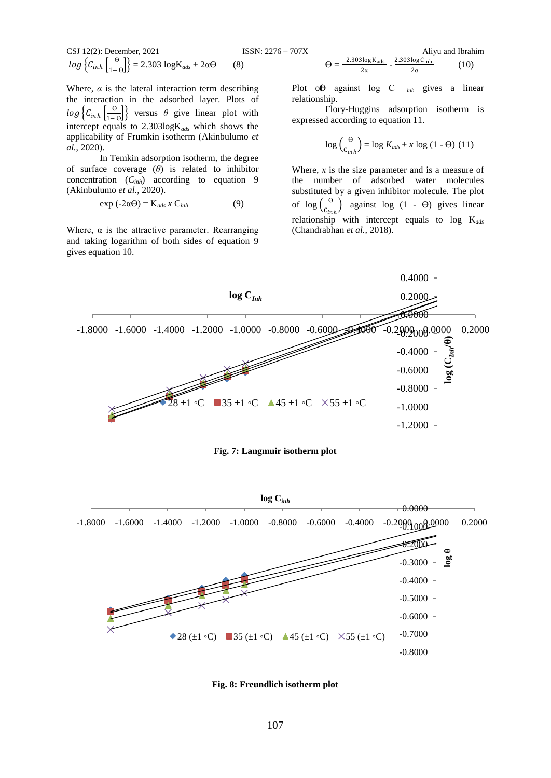CSJ 12(2): December, 2021  
\n
$$
log \left\{ C_{inh} \left[ \frac{\Theta}{1-\Theta} \right] \right\} = 2.303 log K_{ads} + 2\alpha \Theta
$$
 (8)

Where,  $\alpha$  is the lateral interaction term describing the interaction in the adsorbed layer. Plots of  $log \left\{ C_{inh} \left[ \frac{\Theta}{1-\Theta} \right] \right\}$  versus  $\theta$  give linear plot with intercept equals to 2.303logK*ads* which shows the applicability of Frumkin isotherm (Akinbulumo *et al.*, 2020).

In Temkin adsorption isotherm, the degree of surface coverage (*θ*) is related to inhibitor concentration (*Cinh*) according to equation 9 (Akinbulumo *et al.*, 2020).

$$
\exp(-2\alpha\Theta) = \mathbf{K}_{ads} \times \mathbf{C}_{inh} \tag{9}
$$

Where,  $\alpha$  is the attractive parameter. Rearranging and taking logarithm of both sides of equation 9 gives equation 10.

$$
\Theta = \frac{-2.303 \log K_{ads}}{2\alpha} - \frac{2.303 \log C_{inh}}{2\alpha} \tag{10}
$$

Plot of against log C  $_{inh}$  gives a linear relationship.

Flory-Huggins adsorption isotherm is expressed according to equation 11.

$$
\log\left(\frac{\Theta}{c_{inh}}\right) = \log K_{ads} + x \log (1 - \Theta) \quad (11)
$$

Where,  $x$  is the size parameter and is a measure of the number of adsorbed water molecules substituted by a given inhibitor molecule. The plot of  $\log \left( \frac{\Theta}{C_{inh}} \right)$  against log (1 -  $\Theta$ ) gives linear relationship with intercept equals to log K*ads* (Chandrabhan *et al.,* 2018).



#### **Fig. 7: Langmuir isotherm plot**



**Fig. 8: Freundlich isotherm plot**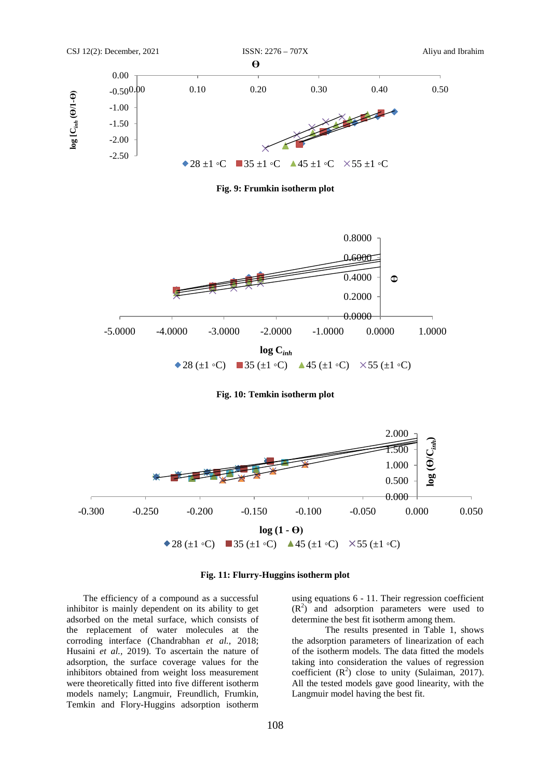

**Fig. 9: Frumkin isotherm plot**



**Fig. 10: Temkin isotherm plot**





The efficiency of a compound as a successful inhibitor is mainly dependent on its ability to get adsorbed on the metal surface, which consists of the replacement of water molecules at the corroding interface (Chandrabhan *et al.,* 2018; Husaini *et al.,* 2019). To ascertain the nature of adsorption, the surface coverage values for the inhibitors obtained from weight loss measurement were theoretically fitted into five different isotherm models namely; Langmuir, Freundlich, Frumkin, Temkin and Flory-Huggins adsorption isotherm

using equations 6 - 11. Their regression coefficient  $(R<sup>2</sup>)$  and adsorption parameters were used to determine the best fit isotherm among them.

The results presented in Table 1, shows the adsorption parameters of linearization of each of the isotherm models. The data fitted the models taking into consideration the values of regression coefficient  $(R^2)$  close to unity (Sulaiman, 2017). All the tested models gave good linearity, with the Langmuir model having the best fit.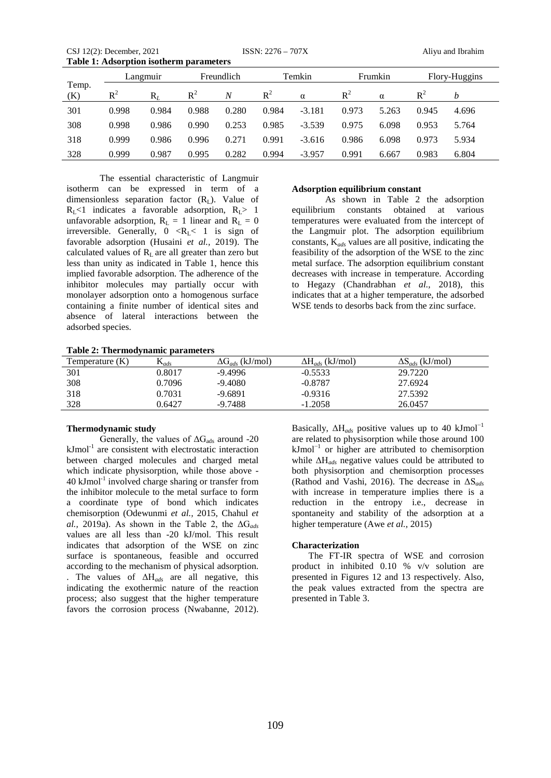CSJ 12(2): December, 2021 ISSN: 2276 – 707X Aliyu and Ibrahim **Table 1: Adsorption isotherm parameters** 

|              | Langmuir |       | Freundlich |       | Temkin |          | Frumkin |       | Flory-Huggins |       |
|--------------|----------|-------|------------|-------|--------|----------|---------|-------|---------------|-------|
| Temp.<br>(K) | $R^2$    | $R_L$ | $R^2$      | N     | $R^2$  | $\alpha$ | $R^2$   | α     | $\rm R^2$     | h     |
| 301          | 0.998    | 0.984 | 0.988      | 0.280 | 0.984  | $-3.181$ | 0.973   | 5.263 | 0.945         | 4.696 |
| 308          | 0.998    | 0.986 | 0.990      | 0.253 | 0.985  | $-3.539$ | 0.975   | 6.098 | 0.953         | 5.764 |
| 318          | 0.999    | 0.986 | 0.996      | 0.271 | 0.991  | $-3.616$ | 0.986   | 6.098 | 0.973         | 5.934 |
| 328          | 0.999    | 0.987 | 0.995      | 0.282 | 0.994  | $-3.957$ | 0.991   | 6.667 | 0.983         | 6.804 |

The essential characteristic of Langmuir isotherm can be expressed in term of a dimensionless separation factor  $(R<sub>L</sub>)$ . Value of  $R_L$ <1 indicates a favorable adsorption,  $R_L$ > 1 unfavorable adsorption,  $R_L = 1$  linear and  $R_L = 0$ irreversible. Generally,  $0 \le R_L < 1$  is sign of favorable adsorption (Husaini *et al.,* 2019). The calculated values of  $R<sub>L</sub>$  are all greater than zero but less than unity as indicated in Table 1, hence this implied favorable adsorption. The adherence of the inhibitor molecules may partially occur with monolayer adsorption onto a homogenous surface containing a finite number of identical sites and absence of lateral interactions between the adsorbed species.

#### **Adsorption equilibrium constant**

As shown in Table 2 the adsorption equilibrium constants obtained at various temperatures were evaluated from the intercept of the Langmuir plot. The adsorption equilibrium constants, K*ads* values are all positive, indicating the feasibility of the adsorption of the WSE to the zinc metal surface. The adsorption equilibrium constant decreases with increase in temperature. According to Hegazy (Chandrabhan *et al.,* 2018), this indicates that at a higher temperature, the adsorbed WSE tends to desorbs back from the zinc surface.

|  | Table 2: Thermodynamic parameters |  |
|--|-----------------------------------|--|
|--|-----------------------------------|--|

| Temperature $(K)$ | $\mathbf{a}_{ads}$ | $\Delta G_{ads}$ (kJ/mol) | $\Delta H_{ads}$ (kJ/mol) | $\Delta S_{ads}$ (kJ/mol) |  |
|-------------------|--------------------|---------------------------|---------------------------|---------------------------|--|
| 301               | 0.8017             | $-9.4996$                 | $-0.5533$                 | 29.7220                   |  |
| 308               | 0.7096             | $-9.4080$                 | $-0.8787$                 | 27.6924                   |  |
| 318               | 0.7031             | $-9.6891$                 | $-0.9316$                 | 27.5392                   |  |
| 328               | 0.6427             | $-9.7488$                 | $-1.2058$                 | 26.0457                   |  |

# **Thermodynamic study**

Generally, the values of  $\Delta G_{ads}$  around -20  $kJmol<sup>-1</sup>$  are consistent with electrostatic interaction between charged molecules and charged metal which indicate physisorption, while those above -  $40 \text{ kJmol}^{-1}$  involved charge sharing or transfer from the inhibitor molecule to the metal surface to form a coordinate type of bond which indicates chemisorption (Odewunmi *et al.,* 2015, Chahul *et al.,* 2019a). As shown in the Table 2, the  $\Delta G_{ads}$ values are all less than -20 kJ/mol. This result indicates that adsorption of the WSE on zinc surface is spontaneous, feasible and occurred according to the mechanism of physical adsorption. . The values of ΔH*ads* are all negative, this indicating the exothermic nature of the reaction process; also suggest that the higher temperature favors the corrosion process (Nwabanne, 2012).

Basically,  $\Delta H_{ads}$  positive values up to 40 kJmol<sup>-1</sup> are related to physisorption while those around 100 kJmol<sup>−</sup><sup>1</sup> or higher are attributed to chemisorption while ΔH*ads* negative values could be attributed to both physisorption and chemisorption processes (Rathod and Vashi, 2016). The decrease in ΔS*ads* with increase in temperature implies there is a reduction in the entropy i.e., decrease in spontaneity and stability of the adsorption at a higher temperature (Awe *et al.,* 2015)

#### **Characterization**

The FT-IR spectra of WSE and corrosion product in inhibited 0.10 % v/v solution are presented in Figures 12 and 13 respectively. Also, the peak values extracted from the spectra are presented in Table 3.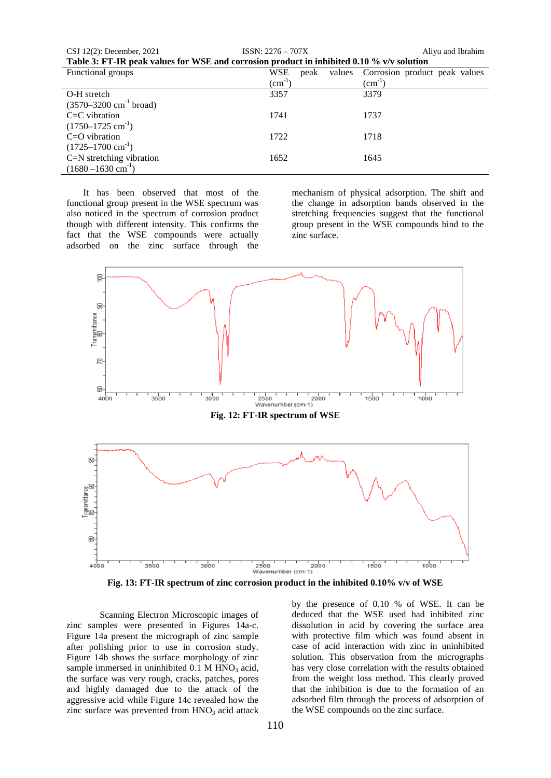| CSJ $12(2)$ : December, 2021 | $ISSN: 2276 - 707X$                                                                         | Alivu and Ibrahim |
|------------------------------|---------------------------------------------------------------------------------------------|-------------------|
|                              | Tokke 2. FT ID week welcoo fan WGF and aanvasten wurdwet in inklikted 0.10.0/ wie selvtian. |                   |

| Table 3: FT-IR peak values for WSE and corrosion product in inhibited 0.10 % v/v solution |                       |                               |  |  |
|-------------------------------------------------------------------------------------------|-----------------------|-------------------------------|--|--|
| Functional groups                                                                         | WSE<br>values<br>peak | Corrosion product peak values |  |  |
|                                                                                           | $\text{cm}^{-1}$ )    | $\text{cm}^{-1}$              |  |  |
| O-H stretch                                                                               | 3357                  | 3379                          |  |  |
| $(3570 - 3200 \text{ cm}^{-1} \text{ broad})$                                             |                       |                               |  |  |
| $C=C$ vibration                                                                           | 1741                  | 1737                          |  |  |
| $(1750-1725 \text{ cm}^{-1})$                                                             |                       |                               |  |  |
| $C=O$ vibration                                                                           | 1722                  | 1718                          |  |  |
| $(1725-1700 \text{ cm}^{-1})$                                                             |                       |                               |  |  |
| C=N stretching vibration                                                                  | 1652                  | 1645                          |  |  |
| $(1680 - 1630 \text{ cm}^{-1})$                                                           |                       |                               |  |  |

It has been observed that most of the functional group present in the WSE spectrum was also noticed in the spectrum of corrosion product though with different intensity. This confirms the fact that the WSE compounds were actually adsorbed on the zinc surface through the

mechanism of physical adsorption. The shift and the change in adsorption bands observed in the stretching frequencies suggest that the functional group present in the WSE compounds bind to the zinc surface.



**Fig. 13: FT-IR spectrum of zinc corrosion product in the inhibited 0.10% v/v of WSE**

Scanning Electron Microscopic images of zinc samples were presented in Figures 14a-c. Figure 14a present the micrograph of zinc sample after polishing prior to use in corrosion study. Figure 14b shows the surface morphology of zinc sample immersed in uninhibited  $0.1$  M HNO<sub>3</sub> acid, the surface was very rough, cracks, patches, pores and highly damaged due to the attack of the aggressive acid while Figure 14c revealed how the zinc surface was prevented from  $HNO<sub>3</sub>$  acid attack

by the presence of 0.10 % of WSE. It can be deduced that the WSE used had inhibited zinc dissolution in acid by covering the surface area with protective film which was found absent in case of acid interaction with zinc in uninhibited solution. This observation from the micrographs has very close correlation with the results obtained from the weight loss method. This clearly proved that the inhibition is due to the formation of an adsorbed film through the process of adsorption of the WSE compounds on the zinc surface.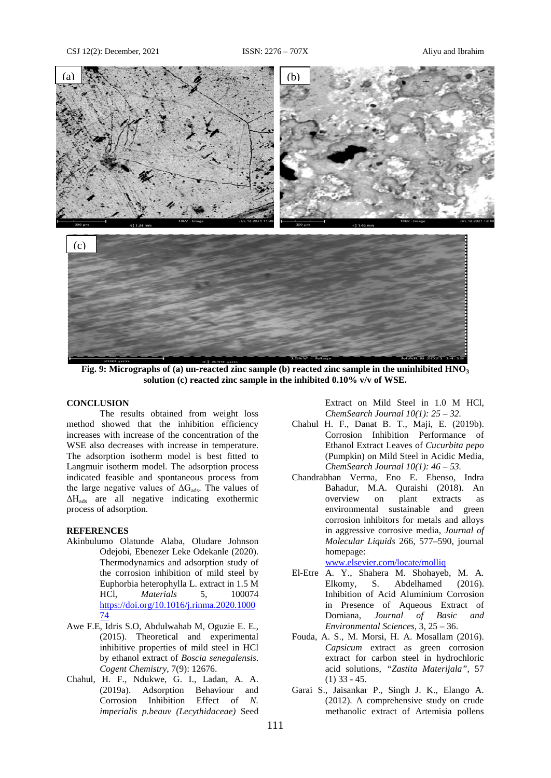

**Fig. 9: Micrographs of (a) un-reacted zinc sample (b) reacted zinc sample in the uninhibited HNO3 solution (c) reacted zinc sample in the inhibited 0.10% v/v of WSE.**

#### **CONCLUSION**

The results obtained from weight loss method showed that the inhibition efficiency increases with increase of the concentration of the WSE also decreases with increase in temperature. The adsorption isotherm model is best fitted to Langmuir isotherm model. The adsorption process indicated feasible and spontaneous process from the large negative values of  $\Delta G_{ads}$ . The values of ΔHads are all negative indicating exothermic process of adsorption.

# **REFERENCES**

- Akinbulumo Olatunde Alaba, Oludare Johnson Odejobi, Ebenezer Leke Odekanle (2020). Thermodynamics and adsorption study of the corrosion inhibition of mild steel by Euphorbia heterophylla L. extract in 1.5 M HCl, *Materials* 5, 100074 [https://doi.org/10.1016/j.rinma.2020.1000](https://doi.org/10.1016/j.rinma.2020.100074) [74](https://doi.org/10.1016/j.rinma.2020.100074)
- Awe F.E, Idris S.O, Abdulwahab M, Oguzie E. E., (2015). Theoretical and experimental inhibitive properties of mild steel in HCl by ethanol extract of *Boscia senegalensis*. *Cogent Chemistry,* 7(9): 12676.
- Chahul, H. F., Ndukwe, G. I., Ladan, A. A. (2019a). Adsorption Behaviour and Corrosion Inhibition Effect of *N. imperialis p.beauv (Lecythidaceae)* Seed

Extract on Mild Steel in 1.0 M HCl, *ChemSearch Journal 10(1): 25 – 32.* 

- Chahul H. F., Danat B. T., Maji, E. (2019b). Corrosion Inhibition Performance of Ethanol Extract Leaves of *Cucurbita pepo*  (Pumpkin) on Mild Steel in Acidic Media, *ChemSearch Journal 10(1): 46 – 53.*
- Chandrabhan Verma, Eno E. Ebenso, Indra Bahadur, M.A. Quraishi (2018). An overview on plant extracts as overview on plant extracts as environmental sustainable and green corrosion inhibitors for metals and alloys in aggressive corrosive media, *Journal of Molecular Liquids* 266, 577–590, journal homepage:

[www.elsevier.com/locate/molliq](http://www.elsevier.com/locate/molliq)

- El-Etre A. Y., Shahera M. Shohayeb, M. A. Elkomy, S. Abdelhamed (2016). Inhibition of Acid Aluminium Corrosion in Presence of Aqueous Extract of Domiana, *Journal of Basic and Environmental Sciences,* 3, 25 – 36.
- Fouda, A. S., M. Morsi, H. A. Mosallam (2016). *Capsicum* extract as green corrosion extract for carbon steel in hydrochloric acid solutions, *"Zastita Materijala"*, 57 (1) 33 - 45.
- Garai S., Jaisankar P., Singh J. K., Elango A. (2012). A comprehensive study on crude methanolic extract of Artemisia pollens